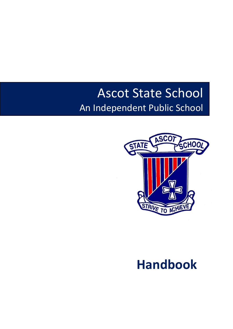# Ascot State School An Independent Public School



# **Handbook**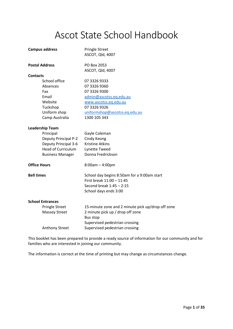# Ascot State School Handbook

| <b>Campus address</b>       | <b>Pringle Street</b><br>ASCOT, Qld, 4007         |  |
|-----------------------------|---------------------------------------------------|--|
| <b>Postal Address</b>       | PO Box 2053<br>ASCOT, Qld, 4007                   |  |
| <b>Contacts</b>             |                                                   |  |
| School office               | 07 3326 9333                                      |  |
| Absences                    | 07 3326 9360                                      |  |
| Fax                         | 07 3326 9300                                      |  |
| Email                       | admin@ascotss.eq.edu.au                           |  |
| Website                     | www.ascotss.eq.edu.au                             |  |
| Tuckshop                    | 07 3326 9326                                      |  |
| Uniform shop                | uniformshop@ascotss.eq.edu.au                     |  |
| Camp Australia              | 1300 105 343                                      |  |
| <b>Leadership Team</b>      |                                                   |  |
| Principal                   | Gayle Coleman                                     |  |
| <b>Deputy Principal P-2</b> | Cindy Keong                                       |  |
| Deputy Principal 3-6        | <b>Kristine Atkins</b>                            |  |
| <b>Head of Curriculum</b>   | Lynette Tweed                                     |  |
| <b>Business Manager</b>     | Donna Fredrickson                                 |  |
| <b>Office Hours</b>         | $8:00am - 4:00pm$                                 |  |
| <b>Bell times</b>           | School day begins 8:50am for a 9:00am start       |  |
|                             | First break 11:00 - 11:45                         |  |
|                             | Second break 1:45 - 2:15                          |  |
|                             | School days ends 3:00                             |  |
| <b>School Entrances</b>     |                                                   |  |
| <b>Pringle Street</b>       | 15-minute zone and 2 minute pick up/drop off zone |  |
| <b>Massey Street</b>        | 2 minute pick up / drop off zone                  |  |
|                             | <b>Bus stop</b>                                   |  |
|                             | Supervised pedestrian crossing                    |  |
| <b>Anthony Street</b>       | Supervised pedestrian crossing                    |  |

This booklet has been prepared to provide a ready source of information for our community and for families who are interested in joining our community.

The information is correct at the time of printing but may change as circumstances change.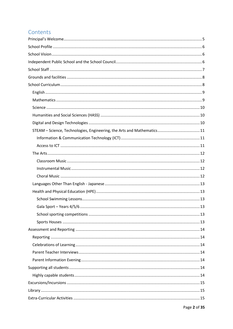# Contents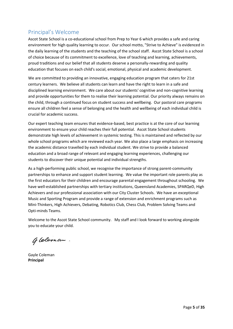# <span id="page-5-0"></span>Principal's Welcome

Ascot State School is a co-educational school from Prep to Year 6 which provides a safe and caring environment for high quality learning to occur. Our school motto, "Strive to Achieve" is evidenced in the daily learning of the students and the teaching of the school staff. Ascot State School is a school of choice because of its commitment to excellence, love of teaching and learning, achievements, proud traditions and our belief that all students deserve a personally-rewarding and quality education that focuses on each child's social, emotional, physical and academic development.

We are committed to providing an innovative, engaging education program that caters for 21st century learners. We believe all students can learn and have the right to learn in a safe and disciplined learning environment. We care about our students' cognitive and non-cognitive learning and provide opportunities for them to realise their learning potential. Our priority always remains on the child, through a continued focus on student success and wellbeing. Our pastoral care programs ensure all children feel a sense of belonging and the health and wellbeing of each individual child is crucial for academic success.

Our expert teaching team ensures that evidence-based, best practice is at the core of our learning environment to ensure your child reaches their full potential. Ascot State School students demonstrate high levels of achievement in systemic testing. This is maintained and reflected by our whole school programs which are reviewed each year. We also place a large emphasis on increasing the academic distance travelled by each individual student. We strive to provide a balanced education and a broad range of relevant and engaging learning experiences, challenging our students to discover their unique potential and individual strengths.

As a high-performing public school, we recognise the importance of strong parent-community partnerships to enhance and support student learning. We value the important role parents play as the first educators for their children and encourage parental engagement throughout schooling. We have well-established partnerships with tertiary institutions, Queensland Academies, SPARQeD, High Achievers and our professional association with our City Cluster Schools. We have an exceptional Music and Sporting Program and provide a range of extension and enrichment programs such as Mini-Thinkers, High Achievers, Debating, Robotics Club, Chess Club, Problem Solving Teams and Opti-minds Teams.

Welcome to the Ascot State School community. My staff and I look forward to working alongside you to educate your child.

Gleman.

Gayle Coleman **Principal**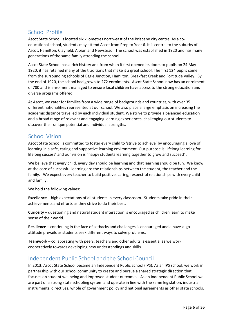# <span id="page-6-0"></span>School Profile

Ascot State School is located six kilometres north-east of the Brisbane city centre. As a coeducational school, students may attend Ascot from Prep to Year 6. It is central to the suburbs of Ascot, Hamilton, Clayfield, Albion and Newstead. The school was established in 1920 and has many generations of the same family attending the school.

Ascot State School has a rich history and from when it first opened its doors to pupils on 24 May 1920, it has retained many of the traditions that make it a great school. The first 124 pupils came from the surrounding schools of Eagle Junction, Hamilton, Breakfast Creek and Fortitude Valley. By the end of 1920, the school had grown to 272 enrolments. Ascot State School now has an enrolment of 780 and is enrolment managed to ensure local children have access to the strong education and diverse programs offered.

At Ascot, we cater for families from a wide range of backgrounds and countries, with over 35 different nationalities represented at our school. We also place a large emphasis on increasing the academic distance travelled by each individual student. We strive to provide a balanced education and a broad range of relevant and engaging learning experiences, challenging our students to discover their unique potential and individual strengths.

# <span id="page-6-1"></span>School Vision

Ascot State School is committed to foster every child to 'strive to achieve' by encouraging a love of learning in a safe, caring and supportive learning environment. Our purpose is 'lifelong learning for lifelong success' and our vision is "happy students learning together to grow and succeed".

We believe that every child, every day should be learning and that learning should be fun. We know at the core of successful learning are the relationships between the student, the teacher and the family. We expect every teacher to build positive, caring, respectful relationships with every child and family.

We hold the following values:

**Excellence** – high expectations of all students in every classroom. Students take pride in their achievements and efforts as they strive to do their best.

**Curiosity** – questioning and natural student interaction is encouraged as children learn to make sense of their world.

**Resilience** – continuing in the face of setbacks and challenges is encouraged and a have-a-go attitude prevails as students seek different ways to solve problems.

**Teamwork** – collaborating with peers, teachers and other adults is essential as we work cooperatively towards developing new understandings and skills.

# <span id="page-6-2"></span>Independent Public School and the School Council

In 2013, Ascot State School became an Independent Public School (IPS). As an IPS school, we work in partnership with our school community to create and pursue a shared strategic direction that focuses on student wellbeing and improved student outcomes. As an Independent Public School we are part of a strong state schooling system and operate in line with the same legislation, industrial instruments, directives, whole of government policy and national agreements as other state schools.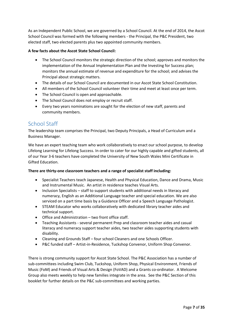As an Independent Public School, we are governed by a School Council. At the end of 2014, the Ascot School Council was formed with the following members - the Principal, the P&C President, two elected staff, two elected parents plus two appointed community members.

### **A few facts about the Ascot State School Council:**

- The School Council monitors the strategic direction of the school; approves and monitors the implementation of the Annual Implementation Plan and the Investing for Success plan; monitors the annual estimate of revenue and expenditure for the school; and advises the Principal about strategic matters.
- The details of our School Council are documented in our Ascot State School Constitution.
- All members of the School Council volunteer their time and meet at least once per term.
- The School Council is open and approachable.
- The School Council does not employ or recruit staff.
- Every two years nominations are sought for the election of new staff, parents and community members.

# <span id="page-7-0"></span>School Staff

The leadership team comprises the Principal, two Deputy Principals, a Head of Curriculum and a Business Manager.

We have an expert teaching team who work collaboratively to enact our school purpose, to develop Lifelong Learning for Lifelong Success. In order to cater for our highly capable and gifted students, all of our Year 3-6 teachers have completed the University of New South Wales Mini Certificate in Gifted Education.

### **There are thirty-one classroom teachers and a range of specialist staff including:**

- Specialist Teachers teach Japanese, Health and Physical Education, Dance and Drama, Music and Instrumental Music. An artist in residence teaches Visual Arts.
- Inclusion Specialists staff to support students with additional needs in literacy and numeracy, English as an Additional Language teacher and special education. We are also serviced on a part time basis by a Guidance Officer and a Speech Language Pathologist.
- STEAM Educator who works collaboratively with dedicated library teacher aides and technical support.
- Office and Administration two front office staff.
- Teaching Assistants several permanent Prep and classroom teacher aides and casual literacy and numeracy support teacher aides, two teacher aides supporting students with disability.
- Cleaning and Grounds Staff four school Cleaners and one Schools Officer.
- P&C funded staff Artist-in-Residence, Tuckshop Convenor, Uniform Shop Convenor.

There is strong community support for Ascot State School. The P&C Association has a number of sub-committees including Swim Club, Tuckshop, Uniform Shop, Physical Environment, Friends of Music (FoM) and Friends of Visual Arts & Design (FoVAD) and a Grants co-ordinator. A Welcome Group also meets weekly to help new families integrate in the area. See the P&C Section of this booklet for further details on the P&C sub-committees and working parties.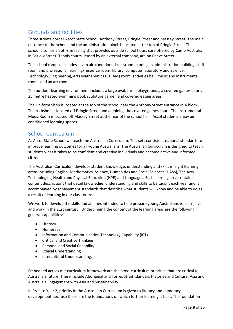# <span id="page-8-0"></span>Grounds and facilities

Three streets border Ascot State School: Anthony Street, Pringle Street and Massey Street. The main entrance to the school and the administration block is located at the top of Pringle Street. The school also has an off-site facility that provides outside school hours care offered by Camp Australia in Barlow Street. Tennis courts, leased by an external company, are on Reeve Street.

The school campus includes seven air-conditioned classroom blocks, an administration building, staff room and professional learning/resource room, library, computer laboratory and Science, Technology, Engineering, Arts Mathematics (STEAM) room, activities hall, music and instrumental rooms and an art room.

The outdoor learning environment includes a large oval, three playgrounds, a covered games court, 25 metre heated swimming pool, sculpture garden and covered eating areas.

The Uniform Shop is located at the top of the school near the Anthony Street entrance in A block. The tuckshop is located off Pringle Street and adjoining the covered games court. The Instrumental Music Room is located off Massey Street at the rear of the school hall. Ascot students enjoy air conditioned learning spaces.

# <span id="page-8-1"></span>School Curriculum

At Ascot State School we teach the Australian Curriculum. This sets consistent national standards to improve learning outcomes for all young Australians. The Australian Curriculum is designed to teach students what it takes to be confident and creative individuals and become active and informed citizens.

The Australian Curriculum develops student knowledge, understanding and skills in eight learning areas including English, Mathematics, Science, Humanities and Social Sciences (HASS), The Arts, Technologies, Health and Physical Education (HPE) and Languages. Each learning area contains content descriptions that detail knowledge, understanding and skills to be taught each year and is accompanied by achievement standards that describe what students will know and be able to do as a result of learning in our classrooms.

We work to develop the skills and abilities intended to help prepare young Australians to learn, live and work in the 21st century. Underpinning the content of the learning areas are the following general capabilities:

- Literacy
- Numeracy
- Information and Communication Technology Capability (ICT)
- Critical and Creative Thinking
- Personal and Social Capability
- Ethical Understanding
- Intercultural Understanding.

Embedded across our curriculum framework are the cross-curriculum priorities that are critical to Australia's future. These include Aboriginal and Torres Strait Islanders Histories and Culture; Asia and Australia's Engagement with Asia and Sustainability.

In Prep to Year 2, priority in the Australian Curriculum is given to literacy and numeracy development because these are the foundations on which further learning is built. The foundation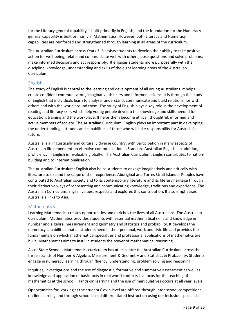for the Literacy general capability is built primarily in English; and the foundation for the Numeracy general capability is built primarily in Mathematics. However, both Literacy and Numeracy capabilities are reinforced and strengthened through learning in all areas of the curriculum.

The Australian Curriculum across Years 3–6 assists students to develop their ability to take positive action for well-being; relate and communicate well with others; pose questions and solve problems; make informed decisions and act responsibly. It engages students more purposefully with the discipline, knowledge, understanding and skills of the eight learning areas of the Australian Curriculum.

### <span id="page-9-0"></span>English

The study of English is central to the learning and development of all young Australians. It helps create confident communicators, imaginative thinkers and informed citizens. It is through the study of English that individuals learn to analyse, understand, communicate and build relationships with others and with the world around them. The study of English plays a key role in the development of reading and literacy skills which help young people develop the knowledge and skills needed for education, training and the workplace. It helps them become ethical, thoughtful, informed and active members of society. The Australian Curriculum: English plays an important part in developing the understanding, attitudes and capabilities of those who will take responsibility for Australia's future.

Australia is a linguistically and culturally diverse country, with participation in many aspects of Australian life dependent on effective communication in Standard Australian English. In addition, proficiency in English is invaluable globally. The Australian Curriculum: English contributes to nationbuilding and to internationalisation.

The Australian Curriculum: English also helps students to engage imaginatively and critically with literature to expand the scope of their experience. Aboriginal and Torres Strait Islander Peoples have contributed to Australian society and to its contemporary literature and its literary heritage through their distinctive ways of representing and communicating knowledge, traditions and experience. The Australian Curriculum: English values, respects and explores this contribution. It also emphasises Australia's links to Asia.

### <span id="page-9-1"></span>**Mathematics**

Learning Mathematics creates opportunities and enriches the lives of all Australians. The Australian Curriculum: Mathematics provides students with essential mathematical skills and knowledge in number and algebra, measurement and geometry and statistics and probability. It develops the numeracy capabilities that all students need in their personal, work and civic life and provides the fundamentals on which mathematical specialties and professional applications of mathematics are built. Mathematics aims to instil in students the power of mathematical reasoning.

Ascot State School's Mathematics curriculum has at its centre the Australian Curriculum across the three strands of Number & Algebra, Measurement & Geometry and Statistics & Probability. Students engage in numeracy learning through fluency, understanding, problem solving and reasoning.

Inquiries, investigations and the use of diagnostic, formative and summative assessment as well as knowledge and application of basic facts in real world contexts is a focus for the teaching of mathematics at the school. Hands-on learning and the use of manipulatives occurs at all year levels.

Opportunities for working at the students' own level are offered through inter-school competitions, on-line learning and through school based differentiated instruction using our inclusion specialists.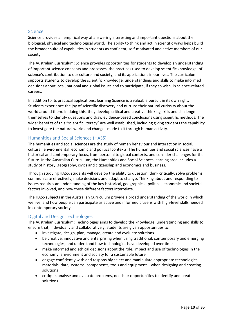### <span id="page-10-0"></span>**Science**

Science provides an empirical way of answering interesting and important questions about the biological, physical and technological world. The ability to think and act in scientific ways helps build the broader suite of capabilities in students as confident, self-motivated and active members of our society.

The Australian Curriculum: Science provides opportunities for students to develop an understanding of important science concepts and processes, the practices used to develop scientific knowledge, of science's contribution to our culture and society, and its applications in our lives. The curriculum supports students to develop the scientific knowledge, understandings and skills to make informed decisions about local, national and global issues and to participate, if they so wish, in science-related careers.

In addition to its practical applications, learning Science is a valuable pursuit in its own right. Students experience the joy of scientific discovery and nurture their natural curiosity about the world around them. In doing this, they develop critical and creative thinking skills and challenge themselves to identify questions and draw evidence-based conclusions using scientific methods. The wider benefits of this "scientific literacy" are well established, including giving students the capability to investigate the natural world and changes made to it through human activity.

### <span id="page-10-1"></span>Humanities and Social Sciences (HASS)

The humanities and social sciences are the study of human behaviour and interaction in social, cultural, environmental, economic and political contexts. The humanities and social sciences have a historical and contemporary focus, from personal to global contexts, and consider challenges for the future. In the Australian Curriculum, the Humanities and Social Sciences learning area includes a study of history, geography, civics and citizenship and economics and business.

Through studying HASS, students will develop the ability to question, think critically, solve problems, communicate effectively, make decisions and adapt to change. Thinking about and responding to issues requires an understanding of the key historical, geographical, political, economic and societal factors involved, and how these different factors interrelate.

The HASS subjects in the Australian Curriculum provide a broad understanding of the world in which we live, and how people can participate as active and informed citizens with high-level skills needed in contemporary society.

### <span id="page-10-2"></span>Digital and Design Technologies

The Australian Curriculum: Technologies aims to develop the knowledge, understanding and skills to ensure that, individually and collaboratively, students are given opportunities to:

- investigate, design, plan, manage, create and evaluate solutions
- be creative, innovative and enterprising when using traditional, contemporary and emerging technologies, and understand how technologies have developed over time
- make informed and ethical decisions about the role, impact and use of technologies in the economy, environment and society for a sustainable future
- engage confidently with and responsibly select and manipulate appropriate technologies − materials, data, systems, components, tools and equipment − when designing and creating solutions
- critique, analyse and evaluate problems, needs or opportunities to identify and create solutions.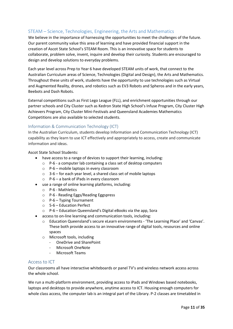### <span id="page-11-0"></span>STEAM – Science, Technologies, Engineering, the Arts and Mathematics

We believe in the importance of harnessing the opportunities to meet the challenges of the future. Our parent community value this area of learning and have provided financial support in the creation of Ascot State School's STEAM Room. This is an innovative space for students to collaborate, problem solve, invent, inquire and develop their curiosity. Students are encouraged to design and develop solutions to everyday problems.

Each year level across Prep to Year 6 have developed STEAM units of work, that connect to the Australian Curriculum areas of Science, Technologies (Digital and Design), the Arts and Mathematics. Throughout these units of work, students have the opportunity to use technologies such as Virtual and Augmented Reality, drones, and robotics such as EV3 Robots and Spheros and in the early years, Beebots and Dash Robots.

External competitions such as First Lego League (FLL), and enrichment opportunities through our partner schools and City Cluster such as Kedron State High School's Infuse Program, City Cluster High Achievers Program, City Cluster Mini-Festivals and Queensland Academies Mathematics Competitions are also available to selected students.

### <span id="page-11-1"></span>Information & Communication Technology (ICT)

In the Australian Curriculum, students develop Information and Communication Technology (ICT) capability as they learn to use ICT effectively and appropriately to access, create and communicate information and ideas.

Ascot State School Students:

- have access to a range of devices to support their learning, including:
	- o P-6 a computer lab containing a class set of desktop computers
	- o P-6 mobile laptops in every classroom
	- o 3-6 for each year level, a shared class set of mobile laptops
	- o P-6 a bank of iPads in every classroom
- use a range of online learning platforms, including:
	- o P-6 Mathletics
	- o P-6 Reading Eggs/Reading Eggspress
	- $\circ$  P-6 Typing Tournament
	- o 5-6 Education Perfect
	- o P-6 Education Queensland's Digital eBooks via the app, Sora
- access to on-line learning and communication tools, including:
	- o Education Queensland's secure eLearn environments 'The Learning Place' and 'Canvas'. These both provide access to an innovative range of digital tools, resources and online spaces
	- o Microsoft tools, including
		- OneDrive and SharePoint
		- Microsoft OneNote
		- Microsoft Teams

### <span id="page-11-2"></span>Access to ICT

Our classrooms all have interactive whiteboards or panel TV's and wireless network access across the whole school.

We run a multi-platform environment, providing access to iPads and Windows based notebooks, laptops and desktops to provide anywhere, anytime access to ICT. Housing enough computers for whole class access, the computer lab is an integral part of the Library. P-2 classes are timetabled in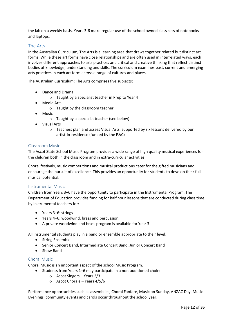the lab on a weekly basis. Years 3-6 make regular use of the school owned class sets of notebooks and laptops.

### <span id="page-12-0"></span>The Arts

In the Australian Curriculum, The Arts is a learning area that draws together related but distinct art forms. While these art forms have close relationships and are often used in interrelated ways, each involves different approaches to arts practices and critical and creative thinking that reflect distinct bodies of knowledge, understanding and skills. The curriculum examines past, current and emerging arts practices in each art form across a range of cultures and places.

The Australian Curriculum: The Arts comprises five subjects:

- Dance and Drama
	- o Taught by a specialist teacher in Prep to Year 4
- Media Arts
	- o Taught by the classroom teacher
- Music
	- o Taught by a specialist teacher (see below)
- Visual Arts
	- o Teachers plan and assess Visual Arts, supported by six lessons delivered by our artist-in-residence (funded by the P&C)

#### <span id="page-12-1"></span>Classroom Music

The Ascot State School Music Program provides a wide range of high quality musical experiences for the children both in the classroom and in extra-curricular activities.

Choral festivals, music competitions and musical productions cater for the gifted musicians and encourage the pursuit of excellence. This provides an opportunity for students to develop their full musical potential.

### <span id="page-12-2"></span>Instrumental Music

Children from Years 3–6 have the opportunity to participate in the Instrumental Program. The Department of Education provides funding for half hour lessons that are conducted during class time by instrumental teachers for:

- Years 3–6: strings
- Years 4–6: woodwind, brass and percussion.
- A private woodwind and brass program is available for Year 3

All instrumental students play in a band or ensemble appropriate to their level:

- String Ensemble
- Senior Concert Band, Intermediate Concert Band, Junior Concert Band
- Show Band

### <span id="page-12-3"></span>Choral Music

Choral Music is an important aspect of the school Music Program.

- Students from Years 1–6 may participate in a non-auditioned choir:
	- o Ascot Singers Years 2/3
	- o Ascot Chorale Years 4/5/6

Performance opportunities such as assemblies, Choral Fanfare, Music on Sunday, ANZAC Day, Music Evenings, community events and carols occur throughout the school year.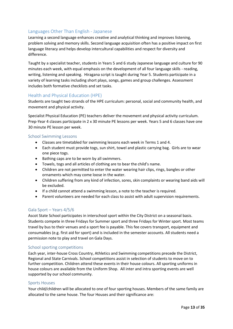### <span id="page-13-0"></span>Languages Other Than English - Japanese

Learning a second language enhances creative and analytical thinking and improves listening, problem solving and memory skills. Second language acquisition often has a positive impact on first language literacy and helps develop intercultural capabilities and respect for diversity and difference.

Taught by a specialist teacher, students in Years 5 and 6 study Japanese language and culture for 90 minutes each week, with equal emphasis on the development of all four language skills - reading, writing, listening and speaking. Hiragana script is taught during Year 5. Students participate in a variety of learning tasks including short plays, songs, games and group challenges. Assessment includes both formative checklists and set tasks.

### <span id="page-13-1"></span>Health and Physical Education (HPE)

Students are taught two strands of the HPE curriculum: personal, social and community health, and movement and physical activity.

Specialist Physical Education (PE) teachers deliver the movement and physical activity curriculum. Prep-Year 4 classes participate in 2 x 30 minute PE lessons per week. Years 5 and 6 classes have one 30 minute PE lesson per week.

### <span id="page-13-2"></span>School Swimming Lessons

- Classes are timetabled for swimming lessons each week in Terms 1 and 4.
- Each student must provide togs, sun shirt, towel and plastic carrying bag. Girls are to wear one piece togs.
- Bathing caps are to be worn by all swimmers.
- Towels, togs and all articles of clothing are to bear the child's name.
- Children are not permitted to enter the water wearing hair clips, rings, bangles or other ornaments which may come loose in the water.
- Children suffering from any kind of infection, sores, skin complaints or wearing band aids will be excluded.
- If a child cannot attend a swimming lesson, a note to the teacher is required.
- Parent volunteers are needed for each class to assist with adult supervision requirements.

### <span id="page-13-3"></span>Gala Sport – Years 4/5/6

Ascot State School participates in interschool sport within the City District on a seasonal basis. Students compete in three Fridays for Summer sport and three Fridays for Winter sport. Most teams travel by bus to their venues and a sport fee is payable. This fee covers transport, equipment and consumables (e.g. first aid for sport) and is included in the semester accounts. All students need a permission note to play and travel on Gala Days.

### <span id="page-13-4"></span>School sporting competitions

Each year, inter-house Cross Country, Athletics and Swimming competitions precede the District, Regional and State Carnivals. School competitions assist in selection of students to move on to further competition. Children attend these events in their house colours. All sporting uniforms in house colours are available from the Uniform Shop. All inter and intra sporting events are well supported by our school community.

#### <span id="page-13-5"></span>Sports Houses

Your child/children will be allocated to one of four sporting houses. Members of the same family are allocated to the same house. The four Houses and their significance are: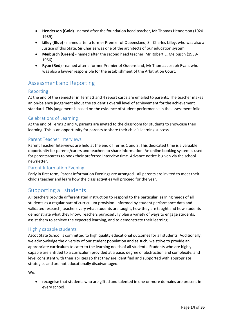- **Henderson (Gold)** named after the foundation head teacher, Mr Thomas Henderson (1920- 1939).
- **Lilley (Blue)** named after a former Premier of Queensland, Sir Charles Lilley, who was also a Justice of this State. Sir Charles was one of the architects of our education system.
- **Meibusch (Green)** named after the second head teacher, Mr Robert E. Meibusch (1939- 1956).
- **Ryan (Red)** named after a former Premier of Queensland, Mr Thomas Joseph Ryan, who was also a lawyer responsible for the establishment of the Arbitration Court.

# <span id="page-14-0"></span>Assessment and Reporting

### <span id="page-14-1"></span>Reporting

At the end of the semester in Terms 2 and 4 report cards are emailed to parents. The teacher makes an on-balance judgement about the student's overall level of achievement for the achievement standard. This judgement is based on the evidence of student performance in the assessment folio.

### <span id="page-14-2"></span>Celebrations of Learning

At the end of Terms 2 and 4, parents are invited to the classroom for students to showcase their learning. This is an opportunity for parents to share their child's learning success.

### <span id="page-14-3"></span>Parent Teacher Interviews

Parent Teacher Interviews are held at the end of Terms 1 and 3. This dedicated time is a valuable opportunity for parents/carers and teachers to share information. An online booking system is used for parents/carers to book their preferred interview time. Advance notice is given via the school newsletter.

### <span id="page-14-4"></span>Parent Information Evening

Early in first term, Parent Information Evenings are arranged. All parents are invited to meet their child's teacher and learn how the class activities will proceed for the year.

# <span id="page-14-5"></span>Supporting all students

All teachers provide differentiated instruction to respond to the particular learning needs of all students as a regular part of curriculum provision. Informed by student performance data and validated research, teachers vary what students are taught, how they are taught and how students demonstrate what they know. Teachers purposefully plan a variety of ways to engage students, assist them to achieve the expected learning, and to demonstrate their learning.

### <span id="page-14-6"></span>Highly capable students

Ascot State School is committed to high quality educational outcomes for all students. Additionally, we acknowledge the diversity of our student population and as such, we strive to provide an appropriate curriculum to cater to the learning needs of all students. Students who are highly capable are entitled to a curriculum provided at a pace, degree of abstraction and complexity: and level consistent with their abilities so that they are identified and supported with appropriate strategies and are not educationally disadvantaged.

We:

• recognise that students who are gifted and talented in one or more domains are present in every school.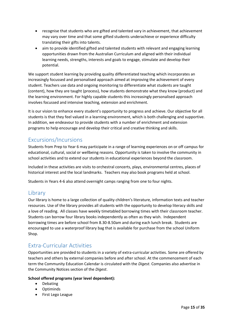- recognise that students who are gifted and talented vary in achievement, that achievement may vary over time and that some gifted students underachieve or experience difficulty translating their gifts into talents.
- aim to provide identified gifted and talented students with relevant and engaging learning opportunities drawn from the Australian Curriculum and aligned with their individual learning needs, strengths, interests and goals to engage, stimulate and develop their potential.

We support student learning by providing quality differentiated teaching which incorporates an increasingly focussed and personalised approach aimed at improving the achievement of every student. Teachers use data and ongoing monitoring to differentiate what students are taught (content), how they are taught (process), how students demonstrate what they know (product) and the learning environment. For highly capable students this increasingly personalised approach involves focussed and intensive teaching, extension and enrichment.

It is our vision to enhance every student's opportunity to progress and achieve. Our objective for all students is that they feel valued in a learning environment, which is both challenging and supportive. In addition, we endeavour to provide students with a number of enrichment and extension programs to help encourage and develop their critical and creative thinking and skills.

# <span id="page-15-0"></span>Excursions/Incursions

Students from Prep to Year 6 may participate in a range of learning experiences on or off campus for educational, cultural, social or wellbeing reasons. Opportunity is taken to involve the community in school activities and to extend our students in educational experiences beyond the classroom.

Included in these activities are visits to orchestral concerts, plays, environmental centres, places of historical interest and the local landmarks. Teachers may also book programs held at school.

Students in Years 4-6 also attend overnight camps ranging from one to four nights.

# <span id="page-15-1"></span>**Library**

Our library is home to a large collection of quality children's literature, information texts and teacher resources. Use of the library provides all students with the opportunity to develop literacy skills and a love of reading. All classes have weekly timetabled borrowing times with their classroom teacher. Students can borrow four library books independently as often as they wish. Independent borrowing times are before school from 8.30-8.50am and during each lunch break. Students are encouraged to use a waterproof library bag that is available for purchase from the school Uniform Shop.

# <span id="page-15-2"></span>Extra-Curricular Activities

Opportunities are provided to students in a variety of extra-curricular activities. Some are offered by teachers and others by external companies before and after school. At the commencement of each term the Community Education Calendar is circulated with the *Digest*. Companies also advertise in the Community Notices section of the *Digest*.

### **School offered programs (year level dependent):**

- Debating
- Optiminds
- First Lego League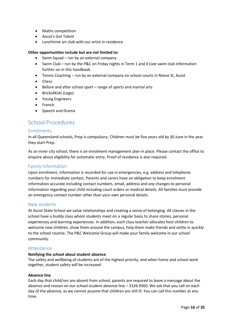- Maths competition
- Ascot's Got Talent
- Lunchtime art club with our artist in residence

#### **Other opportunities include but are not limited to:**

- Swim Squad run by an external company
- Swim Club run by the P&C on Friday nights in Term 1 and 4 (see swim club information further on in this handbook
- Tennis Coaching run by an external company on school courts in Reeve St, Ascot
- Chess
- Before and after school sport range of sports and martial arts
- Bricks4Kids (Lego)
- Young Engineers
- French
- Speech and Drama

## <span id="page-16-0"></span>School Procedures

### <span id="page-16-1"></span>Enrolments

In all Queensland schools, Prep is compulsory. Children must be five years old by 30 June in the year they start Prep.

As an inner city school, there is an enrolment management plan in place. Please contact the office to enquire about eligibility for automatic entry. Proof of residency is also required.

### <span id="page-16-2"></span>Family Information

Upon enrolment, information is recorded for use in emergencies, e.g. address and telephone numbers for immediate contact. Parents and carers have an obligation to keep enrolment information accurate including contact numbers, email, address and any changes to personal information regarding your child including court orders or medical details. All families must provide an emergency contact number other than your own personal details.

### <span id="page-16-3"></span>New students

At Ascot State School we value relationships and creating a sense of belonging. All classes in the school have a buddy class whom students meet on a regular basis to share stories, personal experiences and learning experiences. In addition, each class teacher allocates host children to welcome new children, show them around the campus, help them make friends and settle in quickly to the school routine. The P&C Welcome Group will make your family welcome in our school community.

### <span id="page-16-4"></span>Attendance

### **Notifying the school about student absence**

The safety and wellbeing of students are of the highest priority, and when home and school work together, student safety will be increased.

#### **Absence line**

Each day that child/ren are absent from school, parents are required to leave a message about the absence and reason on our school student absence line – 3326 9360. We ask that you call on each day of the absence, as we cannot assume that children are still ill. You can call this number at any time.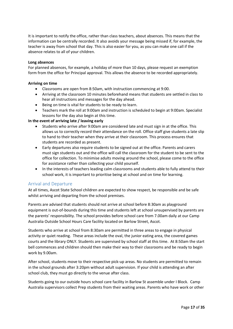It is important to notify the office, rather than class teachers, about absences. This means that the information can be centrally recorded. It also avoids your message being missed if, for example, the teacher is away from school that day. This is also easier for you, as you can make one call if the absence relates to all of your children.

#### **Long absences**

For planned absences, for example, a holiday of more than 10 days, please request an exemption form from the office for Principal approval. This allows the absence to be recorded appropriately.

#### **Arriving on time**

- Classrooms are open from 8:50am, with instruction commencing at 9:00.
- Arriving at the classroom 10 minutes beforehand means that students are settled in class to hear all instructions and messages for the day ahead.
- Being on time is vital for students to be ready to learn.
- Teachers mark the roll at 9:00am and instruction is scheduled to begin at 9:00am. Specialist lessons for the day also begin at this time.

### **In the event of arriving late / leaving early**

- Students who arrive after 9:00am are considered late and must sign in at the office. This allows us to correctly record their attendance on the roll. Office staff give students a late slip to hand to their teacher when they arrive at their classroom. This process ensures that students are recorded as present.
- Early departures also require students to be signed out at the office. Parents and carers must sign students out and the office will call the classroom for the student to be sent to the office for collection. To minimise adults moving around the school, please come to the office for assistance rather than collecting your child yourself.
- In the interests of teachers leading calm classrooms and students able to fully attend to their school work, it is important to prioritise being at school and on time for learning.

### <span id="page-17-0"></span>Arrival and Departure

At all times, Ascot State School children are expected to show respect, be responsible and be safe whilst arriving and departing from the school premises.

Parents are advised that students should not arrive at school before 8:30am as playground equipment is out-of-bounds during this time and students left at school unsupervised by parents are the parents' responsibility. The school provides before school care from 7.00am daily at our Camp Australia Outside School Hours Care facility located on Barlow Street, Ascot.

Students who arrive at school from 8:30am are permitted in three areas to engage in physical activity or quiet reading. These areas include the oval, the junior eating area, the covered games courts and the library ONLY. Students are supervised by school staff at this time. At 8:50am the start bell commences and children should then make their way to their classrooms and be ready to begin work by 9.00am.

After school, students move to their respective pick-up areas. No students are permitted to remain in the school grounds after 3:20pm without adult supervision. If your child is attending an after school club, they must go directly to the venue after class.

Students going to our outside hours school care facility in Barlow St assemble under I Block. Camp Australia supervisors collect Prep students from their waiting areas. Parents who have work or other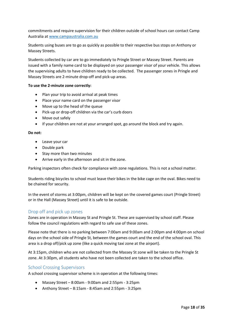commitments and require supervision for their children outside of school hours can contact Camp Australia a[t www.campaustralia.com.au](http://www.campaustralia.com.au/)

Students using buses are to go as quickly as possible to their respective bus stops on Anthony or Massey Streets.

Students collected by car are to go immediately to Pringle Street or Massey Street. Parents are issued with a family name card to be displayed on your passenger visor of your vehicle. This allows the supervising adults to have children ready to be collected. The passenger zones in Pringle and Massey Streets are 2-minute drop-off and pick-up areas.

#### **To use the 2-minute zone correctly:**

- Plan your trip to avoid arrival at peak times
- Place your name card on the passenger visor
- Move up to the head of the queue
- Pick-up or drop-off children via the car's curb doors
- Move out safely
- If your children are not at your arranged spot, go around the block and try again.

#### **Do not:**

- Leave your car
- Double park
- Stay more than two minutes
- Arrive early in the afternoon and sit in the zone.

Parking inspectors often check for compliance with zone regulations. This is not a school matter.

Students riding bicycles to school must leave their bikes in the bike cage on the oval. Bikes need to be chained for security.

In the event of storms at 3:00pm, children will be kept on the covered games court (Pringle Street) or in the Hall (Massey Street) until it is safe to be outside.

### <span id="page-18-0"></span>Drop off and pick up zones

Zones are in operation in Massey St and Pringle St. These are supervised by school staff. Please follow the council regulations with regard to safe use of these zones.

Please note that there is no parking between 7:00am and 9:00am and 2:00pm and 4:00pm on school days on the school side of Pringle St, between the games court and the end of the school oval. This area is a drop off/pick up zone (like a quick moving taxi zone at the airport).

At 3:15pm, children who are not collected from the Massey St zone will be taken to the Pringle St zone. At 3:30pm, all students who have not been collected are taken to the school office.

### <span id="page-18-1"></span>School Crossing Supervisors

A school crossing supervisor scheme is in operation at the following times:

- Massey Street 8:00am 9:00am and 2:55pm 3:25pm
- Anthony Street  $-8:15$ am 8:45am and 2:55pm 3:25pm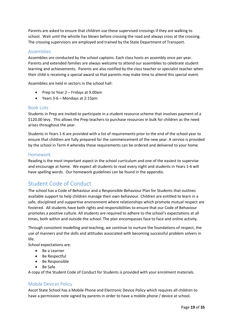Parents are asked to ensure that children use these supervised crossings if they are walking to school. Wait until the whistle has blown before crossing the road and always cross at the crossing. The crossing supervisors are employed and trained by the State Department of Transport.

### <span id="page-19-0"></span>Assemblies

Assemblies are conducted by the school captains. Each class hosts an assembly once per year. Parents and extended families are always welcome to attend our assemblies to celebrate student learning and achievements. Parents are also notified by the class teacher or specialist teacher when their child is receiving a special award so that parents may make time to attend this special event.

Assemblies are held in sectors in the school hall:

- Prep to Year 2 Fridays at 9.00am
- Years 3-6 Mondays at 2:15pm

### <span id="page-19-1"></span>Book Lists

Students in Prep are invited to participate in a student resource scheme that involves payment of a \$120.00 levy. This allows the Prep teachers to purchase resources in bulk for children as the need arises throughout the year.

Students in Years 1-6 are provided with a list of requirements prior to the end of the school year to ensure that children are fully prepared for the commencement of the new year. A service is provided by the school in Term 4 whereby these requirements can be ordered and delivered to your home.

### <span id="page-19-2"></span>Homework

Reading is the most important aspect in the school curriculum and one of the easiest to supervise and encourage at home. We expect all students to read every night and students in Years 1-6 will have spelling words. Our homework guidelines can be found in the appendix.

# <span id="page-19-3"></span>Student Code of Conduct

The school has a Code of Behaviour and a Responsible Behaviour Plan for Students that outlines available support to help children manage their own behaviour. Children are entitled to learn in a safe, disciplined and supportive environment where relationships which promote mutual respect are fostered. All students have both rights and responsibilities to ensure that our Code of Behaviour promotes a positive culture. All students are required to adhere to the school's expectations at all times, both within and outside the school. The plan encompasses face to face and online activity.

Through consistent modelling and teaching, we continue to nurture the foundations of respect, the use of manners and the skills and attitudes associated with becoming successful problem solvers in life.

School expectations are:

- Be a Learner
- Be Respectful
- Be Responsible
- Be Safe

A copy of the Student Code of Conduct for Students is provided with your enrolment materials.

### <span id="page-19-4"></span>Mobile Devices Policy

Ascot State School has a Mobile Phone and Electronic Device Policy which requires all children to have a permission note signed by parents in order to have a mobile phone / device at school.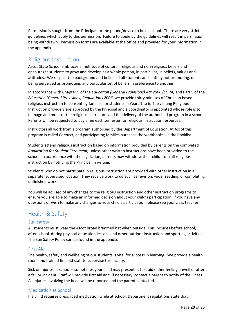Permission is sought from the Principal for the phone/device to be at school. There are very strict guidelines which apply to this permission. Failure to abide by the guidelines will result in permission being withdrawn. Permission forms are available at the office and provided for your information in the appendix.

## <span id="page-20-0"></span>Religious Instruction

Ascot State School embraces a multitude of cultural, religious and non-religious beliefs and encourages students to grow and develop as a whole person, in particular, in beliefs, values and attitudes. We respect the background and beliefs of all students and staff by not promoting, or being perceived as promoting, any particular set of beliefs in preference to another.

In accordance with Chapter 5 of the *Education (General Provisions) Act 2006 (EGPA)* and Part 5 of the *Education (General Provisions) Regulations 2006*, we provide thirty minutes of Christian based religious instruction to consenting families for students in Years 1 to 6. The visiting Religious Instruction providers are approved by the Principal and a coordinator is appointed whose role is to manage and monitor the religious instructors and the delivery of the authorised program in a school. Parents will be requested to pay a fee each semester for religious instruction resources.

Instructors all work from a program authorised by the Department of Education. At Ascot this program is called *Connect*, and participating families purchase the workbooks via the booklist.

Students attend religious instruction based on information provided by parents on the completed *Application for Student Enrolment,* unless other written instructions have been provided to the school*.* In accordance with the legislation, parents may withdraw their child from all religious instruction by notifying the Principal in writing.

Students who do not participate in religious instruction are provided with other instruction in a separate, supervised location. They receive work to do such as revision, wider reading, or completing unfinished work.

You will be advised of any changes to the religious instruction and other instruction programs to ensure you are able to make an informed decision about your child's participation. If you have any questions or wish to make any changes to your child's participation, please see your class teacher.

# <span id="page-20-1"></span>Health & Safety

### <span id="page-20-2"></span>Sun safety

All students must wear the Ascot broad brimmed hat when outside. This includes before school, after school, during physical education lessons and other outdoor instruction and sporting activities. The Sun Safety Policy can be found in the appendix.

### <span id="page-20-3"></span>First Aid

The health, safety and wellbeing of our students is vital for success in learning. We provide a health room and trained first aid staff to supervise this facility.

Sick or injuries at school – sometimes your child may present at first aid either feeling unwell or after a fall or incident. Staff will provide first aid and, if necessary, contact a parent to notify of the illness. All injuries involving the head will be reported and the parent contacted.

### <span id="page-20-4"></span>Medication at School

If a child requires prescribed medication while at school, Department regulations state that: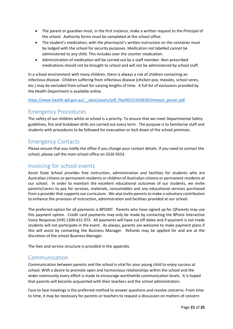- The parent or guardian must, in the first instance, make a written request to the Principal of the school. Authority forms must be completed at the school office.
- The student's medication, with the pharmacist's written instruction on the container must be lodged with the school for security purposes. Medication not labelled cannot be administered to any child. This includes over the counter medication.
- Administration of medication will be carried out by a staff member. Non-prescribed medications should not be brought to school and will not be administered by school staff.

In a school environment with many children, there is always a risk of children contacting an infectious disease. Children suffering from infectious disease (chicken pox, measles, school sores, etc.) may be excluded from school for varying lengths of time. A full list of exclusions provided by the Health Department is available online.

[https://www.health.qld.gov.au/\\_\\_data/assets/pdf\\_file/0022/426820/timeout\\_poster.pdf](https://www.health.qld.gov.au/__data/assets/pdf_file/0022/426820/timeout_poster.pdf)

# <span id="page-21-0"></span>Emergency Procedures

The safety of our children whilst at school is a priority. To ensure that we meet Departmental Safety guidelines, fire and lockdown drills are carried out every term. The purpose is to familiarise staff and students with procedures to be followed for evacuation or lock down of the school premises.

# <span id="page-21-1"></span>Emergency Contacts

Please ensure that you notify the office if you change your contact details. If you need to contact the school, please call the main school office on 3326 9333.

# <span id="page-21-2"></span>Invoicing for school events

Ascot State School provides free instruction, administration and facilities for students who are Australian citizens or permanent residents or children of Australian citizens or permanent residents at our school. In order to maintain the excellent educational outcomes of our students, we invite parents/carers to pay for services, materials, consumables and any educational services purchased from a provider that supports our curriculum. We also invite parents to make a voluntary contribution to enhance the provision of instruction, administration and facilities provided at our school.

The preferred option for all payments is BPOINT. Parents who have signed up for QParents may use this payment option. Credit card payments may only be made by contacting the BPoint Interactive Voice Response (IVR) 1300-631 073. All payments will have cut off dates and if payment is not made students will not participate in the event. As always, parents are welcome to make payment plans if this will assist by contacting the Business Manager. Refunds may be applied for and are at the discretion of the school Business Manager.

<span id="page-21-3"></span>The fees and service structure is provided in the appendix.

### Communication

Communication between parents and the school is vital for your young child to enjoy success at school. With a desire to promote open and harmonious relationships within the school and the wider community every effort is made to encourage worthwhile communication levels. It is hoped that parents will become acquainted with their teachers and the school administrators.

Face to face meetings is the preferred method to answer questions and resolve concerns. From time to time, it may be necessary for parents or teachers to request a discussion on matters of concern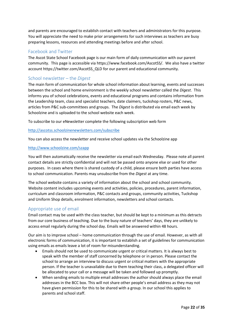and parents are encouraged to establish contact with teachers and administrators for this purpose. You will appreciate the need to make prior arrangements for such interviews as teachers are busy preparing lessons, resources and attending meetings before and after school.

### <span id="page-22-0"></span>Facebook and Twitter

The Ascot State School Facebook page is our main form of daily communication with our parent community. This page is accessible via https://www.facebook.com/AscotSS/. We also have a twitter account https://twitter.com/AscotSS\_QLD for our parent and educational community.

### <span id="page-22-1"></span>School newsletter – the *Digest*

The main form of communication for whole school information about learning, events and successes between the school and home environment is the weekly school newsletter called the *Digest*. This informs you of school celebrations, events and educational programs and contains information from the Leadership team, class and specialist teachers, date claimers, tuckshop rosters, P&C news, articles from P&C sub-committees and groups. The *Digest* is distributed via email each week by Schoolzine and is uploaded to the school website each week.

To subscribe to our eNewsletter complete the following subscription web form

### <http://ascotss.schoolzinenewsletters.com/subscribe>

You can also access the newsletter and receive school updates via the Schoolzine app

### <http://www.schoolzine.com/szapp>

You will then automatically receive the newsletter via email each Wednesday. Please note all parent contact details are strictly confidential and will not be passed onto anyone else or used for other purposes. In cases where there is shared custody of a child, please ensure both parties have access to school communication. Parents may unsubscribe from the *Digest* at any time.

The school website contains a variety of information about the school and school community. Website content includes upcoming events and activities, policies, procedures, parent information, curriculum and classroom information, P&C contacts and groups, community activities, Tuckshop and Uniform Shop details, enrolment information, newsletters and school contacts.

### <span id="page-22-2"></span>Appropriate use of email

Email contact may be used with the class teacher, but should be kept to a minimum as this detracts from our core business of teaching. Due to the busy nature of teachers' days, they are unlikely to access email regularly during the school day. Emails will be answered within 48 hours.

Our aim is to improve school – home communication through the use of email. However, as with all electronic forms of communication, it is important to establish a set of guidelines for communication using emails as emails leave a lot of room for misunderstanding.

- Emails should not be used to communicate urgent or critical matters. It is always best to speak with the member of staff concerned by telephone or in person. Please contact the school to arrange an interview to discuss urgent or critical matters with the appropriate person. If the teacher is unavailable due to them teaching their class, a delegated officer will be allocated to your call or a message will be taken and followed up promptly.
- When sending emails to multiple email addresses the author should always place the email addresses in the BCC box. This will not share other people's email address as they may not have given permission for this to be shared with a group. In our school this applies to parents and school staff.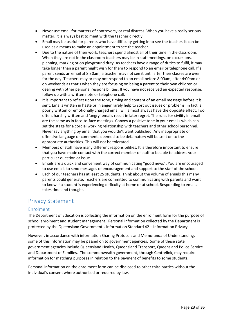- Never use email for matters of controversy or real distress. When you have a really serious matter, it is always best to meet with the teacher directly.
- Email may be useful for parents who have difficulty getting in to see the teacher. It can be used as a means to make an appointment to see the teacher.
- Due to the nature of their work, teachers spend almost all of their time in the classroom. When they are not in the classroom teachers may be in staff meetings, on excursions, planning, marking or on playground duty. As teachers have a range of duties to fulfil, it may take longer than a parent might wish for them to respond to an email or telephone call. If a parent sends an email at 8:30am, a teacher may not see it until after their classes are over for the day. Teachers may or may not respond to an email before 8:00am, after 4:00pm or on weekends as that's when they are focusing on being a parent to their own children or dealing with other personal responsibilities. If you have not received an expected response, follow up with a written note or telephone call.
- It is important to reflect upon the tone, timing and content of an email message before it is sent. Emails written in haste or in anger rarely help to sort out issues or problems; in fact, a poorly written or emotionally charged email will almost always have the opposite effect. Too often, harshly written and 'angry' emails result in later regret. The rules for civility in email are the same as in face-to-face meetings. Convey a positive tone in your emails which can set the stage for a cordial working relationship with teachers and other school personnel. Never say anything by email that you wouldn't want published. Any inappropriate or offensive language or comments deemed to be defamatory will be sent on to the appropriate authorities. This will not be tolerated.
- Members of staff have many different responsibilities. It is therefore important to ensure that you have made contact with the correct member of staff to be able to address your particular question or issue.
- Emails are a quick and convenient way of communicating "good news". You are encouraged to use emails to send messages of encouragement and support to the staff of the school.
- Each of our teachers has at least 25 students. Think about the volume of emails this many parents could generate. Teachers are committed to communicating with parents and want to know if a student is experiencing difficulty at home or at school. Responding to emails takes time and thought.

# <span id="page-23-0"></span>Privacy Statement

### <span id="page-23-1"></span>Enrolment

The Department of Education is collecting the information on the enrolment form for the purpose of school enrolment and student management. Personal information collected by the Department is protected by the Queensland Government's information Standard 42 – Information Privacy.

However, in accordance with information Sharing Protocols and Memoranda of Understanding, some of this information may be passed on to government agencies. Some of these state government agencies include Queensland Health, Queensland Transport, Queensland Police Service and Department of Families. The commonwealth government, through Centrelink, may require information for matching purposes in relation to the payment of benefits to some students.

Personal information on the enrolment form can be disclosed to other third parties without the individual's consent where authorised or required by law.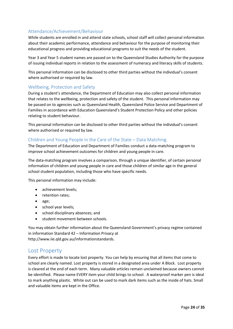### <span id="page-24-0"></span>Attendance/Achievement/Behaviour

While students are enrolled in and attend state schools, school staff will collect personal information about their academic performance, attendance and behaviour for the purpose of monitoring their educational progress and providing educational programs to suit the needs of the student.

Year 3 and Year 5 student names are passed on to the Queensland Studies Authority for the purpose of issuing individual reports in relation to the assessment of numeracy and literacy skills of students.

This personal information can be disclosed to other third parties without the individual's consent where authorised or required by law.

### <span id="page-24-1"></span>Wellbeing, Protection and Safety

During a student's attendance, the Department of Education may also collect personal information that relates to the wellbeing, protection and safety of the student. This personal information may be passed on to agencies such as Queensland Health, Queensland Police Service and Department of Families in accordance with Education Queensland's Student Protection Policy and other policies relating to student behaviour.

This personal information can be disclosed to other third parties without the individual's consent where authorised or required by law.

### <span id="page-24-2"></span>Children and Young People in the Care of the State – Data Matching

The Department of Education and Department of Families conduct a data-matching program to improve school achievement outcomes for children and young people in care.

The data-matching program involves a comparison, through a unique identifier, of certain personal information of children and young people in care and those children of similar age in the general school student population, including those who have specific needs.

This personal information may include:

- achievement levels;
- retention rates:
- age;
- school year levels;
- school disciplinary absences; and
- student movement between schools.

You may obtain further information about the Queensland Government's privacy regime contained in information Standard 42 – Information Privacy at http://www.iie.qld.gov.au/informationstandards.

### <span id="page-24-3"></span>Lost Property

Every effort is made to locate lost property. You can help by ensuring that all items that come to school are clearly named. Lost property is stored in a designated area under A Block. Lost property is cleared at the end of each term. Many valuable articles remain unclaimed because owners cannot be identified. Please name EVERY item your child brings to school. A waterproof marker pen is ideal to mark anything plastic. White out can be used to mark dark items such as the inside of hats. Small and valuable items are kept in the Office.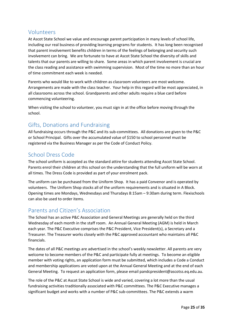### <span id="page-25-0"></span>Volunteers

At Ascot State School we value and encourage parent participation in many levels of school life, including our real business of providing learning programs for students. It has long been recognised that parent involvement benefits children in terms of the feelings of belonging and security such involvement can bring. We are fortunate to have at Ascot State School the diversity of skills and talents that our parents are willing to share. Some areas in which parent involvement is crucial are the class reading and assistance with swimming supervision. Most of the time no more than an hour of time commitment each week is needed.

Parents who would like to work with children as classroom volunteers are most welcome. Arrangements are made with the class teacher. Your help in this regard will be most appreciated, in all classrooms across the school. Grandparents and other adults require a blue card before commencing volunteering.

When visiting the school to volunteer, you must sign in at the office before moving through the school.

# <span id="page-25-1"></span>Gifts, Donations and Fundraising

All fundraising occurs through the P&C and its sub-committees. All donations are given to the P&C or School Principal. Gifts over the accumulated value of \$150 to school personnel must be registered via the Business Manager as per the Code of Conduct Policy.

# <span id="page-25-2"></span>School Dress Code

The school uniform is accepted as the standard attire for students attending Ascot State School. Parents enrol their children at this school on the understanding that the full uniform will be worn at all times. The Dress Code is provided as part of your enrolment pack.

The uniform can be purchased from the Uniform Shop. It has a paid Convenor and is operated by volunteers. The Uniform Shop stocks all of the uniform requirements and is situated in A Block. Opening times are Mondays, Wednesdays and Thursdays 8:15am – 9:30am during term. Flexischools can also be used to order items.

# <span id="page-25-3"></span>Parents and Citizen's Association

The School has an active P&C Association and General Meetings are generally held on the third Wednesday of each month in the staff room. An Annual General Meeting (AGM) is held in March each year. The P&C Executive comprises the P&C President, Vice President(s), a Secretary and a Treasurer. The Treasurer works closely with the P&C approved accountant who maintains all P&C financials.

The dates of all P&C meetings are advertised in the school's weekly newsletter. All parents are very welcome to become members of the P&C and participate fully at meetings. To become an eligible member with voting rights, an application form must be submitted, which includes a Code a Conduct and membership applications are voted upon at the Annual General Meeting and at the end of each General Meeting. To request an application form, please email pandcpresident@ascotss.eq.edu.au.

The role of the P&C at Ascot State School is wide and varied, covering a lot more than the usual fundraising activities traditionally associated with P&C committees. The P&C Executive manages a significant budget and works with a number of P&C sub-committees. The P&C extends a warm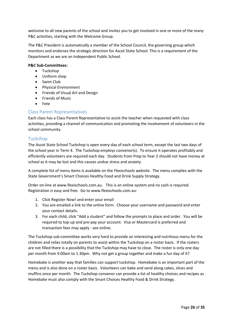welcome to all new parents of the school and invites you to get involved in one or more of the many P&C activities, starting with the Welcome Group.

The P&C President is automatically a member of the School Council, the governing group which monitors and endorses the strategic direction for Ascot State School. This is a requirement of the Department as we are an Independent Public School.

### **P&C Sub-Committees:**

- Tuckshop
- Uniform shop
- Swim Club
- Physical Environment
- Friends of Visual Art and Design
- Friends of Music
- Fete

### <span id="page-26-0"></span>Class Parent Representatives

Each class has a Class Parent Representative to assist the teacher when requested with class activities, providing a channel of communication and promoting the involvement of volunteers in the school community.

### <span id="page-26-1"></span>Tuckshop

The Ascot State School Tuckshop is open every day of each school term, except the last two days of the school year in Term 4. The Tuckshop employs convenor(s). To ensure it operates profitably and efficiently volunteers are required each day. Students from Prep to Year 2 should not have money at school as it may be lost and this causes undue stress and anxiety.

A complete list of menu items is available on the Flexischools website. The menu complies with the State Government's Smart Choices Healthy Food and Drink Supply Strategy.

Order on-line at www.flexischools.com.au. This is an online system and no cash is required. Registration is easy and free. Go to www.flexischools.com.au:

- 1. Click Register Now! and enter your email
- 2. You are emailed a link to the online form. Choose your username and password and enter your contact details.
- 3. For each child, click "Add a student" and follow the prompts to place and order. You will be required to top-up and pre-pay your account. Visa or Mastercard is preferred and transaction fees may apply - see online.

The Tuckshop sub-committee works very hard to provide an interesting and nutritious menu for the children and relies totally on parents to assist within the Tuckshop on a roster basis. If the rosters are not filled there is a possibility that the Tuckshop may have to close. The roster is only one day per month from 9.00am to 1.30pm. Why not get a group together and make a fun day of it?

Homebake is another way that families can support tuckshop. Homebake is an important part of the menu and is also done on a roster basis. Volunteers can bake and send along cakes, slices and muffins once per month. The Tuckshop convenor can provide a list of healthy choices and recipes as Homebake must also comply with the Smart Choices Healthy Food & Drink Strategy.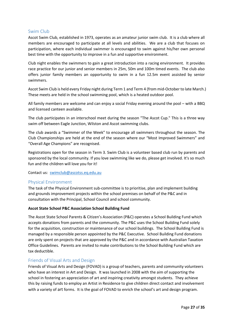### <span id="page-27-0"></span>Swim Club

Ascot Swim Club, established in 1973, operates as an amateur junior swim club. It is a club where all members are encouraged to participate at all levels and abilities. We are a club that focuses on participation, where each individual swimmer is encouraged to swim against his/her own personal best time with the opportunity to improve in a fun and supportive environment.

Club night enables the swimmers to gain a great introduction into a racing environment. It provides race practice for our junior and senior members in 25m, 50m and 100m timed events. The club also offers junior family members an opportunity to swim in a fun 12.5m event assisted by senior swimmers.

Ascot Swim Club is held every Friday night during Term 1 and Term 4 (from mid-October to late March.) These meets are held in the school swimming pool, which is a heated outdoor pool.

All family members are welcome and can enjoy a social Friday evening around the pool – with a BBQ and licensed canteen available.

The club participates in an interschool meet during the season "The Ascot Cup." This is a three way swim off between Eagle Junction, Wilston and Ascot swimming clubs.

The club awards a "Swimmer of the Week" to encourage all swimmers throughout the season. The Club Championships are held at the end of the season where our "Most Improved Swimmers" and "Overall Age Champions" are recognised.

Registrations open for the season in Term 3. Swim Club is a volunteer based club run by parents and sponsored by the local community. If you love swimming like we do, please get involved. It's so much fun and the children will love you for it!

Contact us: [swimclub@ascotss.eq.edu.au](x-msg://336/swimclub@ascotss.eq.edu.au)

### <span id="page-27-1"></span>Physical Environment

The task of the Physical Environment sub-committee is to prioritise, plan and implement building and grounds improvement projects within the school premises on behalf of the P&C and in consultation with the Principal, School Council and school community.

### **Ascot State School P&C Association School Building Fund**

The Ascot State School Parents & Citizen's Association (P&C) operates a School Building Fund which accepts donations from parents and the community. The P&C uses the School Building Fund solely for the acquisition, construction or maintenance of our school buildings. The School Building Fund is managed by a responsible person appointed by the P&C Executive. School Building Fund donations are only spent on projects that are approved by the P&C and in accordance with Australian Taxation Office Guidelines. Parents are invited to make contributions to the School Building Fund which are tax deductible.

### <span id="page-27-2"></span>Friends of Visual Arts and Design

Friends of Visual Arts and Design (FOVAD) is a group of teachers, parents and community volunteers who have an interest in Art and Design. It was launched in 2008 with the aim of supporting the school in fostering an appreciation of art and inspiring creativity amongst students. They achieve this by raising funds to employ an Artist in Residence to give children direct contact and involvement with a variety of art forms. It is the goal of FOVAD to enrich the school's art and design program.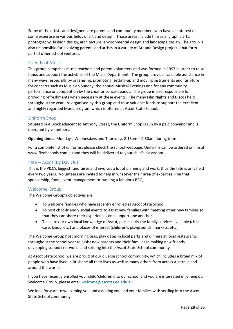Some of the artists and designers are parents and community members who have an interest or some expertise in various fields of art and design. Those areas include fine arts, graphic arts, photography, fashion design, architecture, environmental design and landscape design. The group is also responsible for involving parents and artists in a variety of Art and Design projects that form part of other school ventures.

### <span id="page-28-0"></span>Friends of Music

This group comprises music teachers and parent volunteers and was formed in 1997 in order to raise funds and support the activities of the Music Department. The group provides valuable assistance in many ways, especially by organising, promoting, setting-up and moving instruments and furniture for concerts such as Music on Sunday, the annual Musical Evenings and for any community performance or competition by the choir or concert bands. The group is also responsible for providing refreshments when necessary at these events. The many Film Nights and Discos held throughout the year are organised by this group and raise valuable funds to support the excellent and highly regarded Music program which is offered at Ascot State School.

### <span id="page-28-1"></span>Uniform Shop

Situated in A Block adjacent to Anthony Street, the Uniform Shop is run by a paid convenor and is operated by volunteers.

**Opening times**: Mondays, Wednesdays and Thursdays 8:15am – 9:30am during term.

For a complete list of uniforms, please check the school webpage. Uniforms can be ordered online at www.flexischools.com.au and they will be delivered to your child's classroom.

### <span id="page-28-2"></span>Fete – Ascot Big Day Out

This is the P&C's biggest fundraiser and involves a lot of planning and work, thus the fete is only held every two years. Volunteers are invited to help in whatever their area of expertise – be that sponsorship, food, event management or running a fabulous BBQ.

### <span id="page-28-3"></span>Welcome Group

The Welcome Group's objectives are:

- To welcome families who have recently enrolled at Ascot State School.
- To host child-friendly social events to assist new families with meeting other new families so that they can share their experiences and support one another.
- To share our own local knowledge of Ascot, particularly the family services available (child care, kindy, etc.) and places of interest (children's playgrounds, markets, etc.).

The Welcome Group host morning teas, play dates in local parks and dinners at local restaurants throughout the school year to assist new parents and their families in making new friends, developing support networks and settling into the Ascot State School community.

At Ascot State School we are proud of our diverse school community, which includes a broad mix of people who have lived in Brisbane all their lives as well as many others from across Australia and around the world.

If you have recently enrolled your child/children into our school and you are interested in joining our Welcome Group, please emai[l welcome@ascotss.eq.edu.au](mailto:welcome@ascotss.eq.edu.au)

We look forward to welcoming you and assisting you and your families with settling into the Ascot State School community.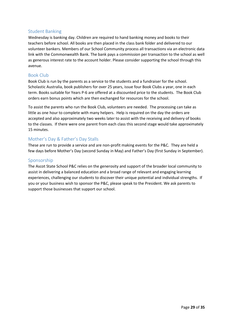### <span id="page-29-0"></span>Student Banking

Wednesday is banking day. Children are required to hand banking money and books to their teachers before school. All books are then placed in the class bank folder and delivered to our volunteer bankers. Members of our School Community process all transactions via an electronic data link with the Commonwealth Bank. The bank pays a commission per transaction to the school as well as generous interest rate to the account holder. Please consider supporting the school through this avenue.

### <span id="page-29-1"></span>Book Club

Book Club is run by the parents as a service to the students and a fundraiser for the school. Scholastic Australia, book publishers for over 25 years, issue four Book Clubs a year, one in each term. Books suitable for Years P-6 are offered at a discounted price to the students. The Book Club orders earn bonus points which are then exchanged for resources for the school.

To assist the parents who run the Book Club, volunteers are needed. The processing can take as little as one hour to complete with many helpers. Help is required on the day the orders are accepted and also approximately two weeks later to assist with the receiving and delivery of books to the classes. If there were one parent from each class this second stage would take approximately 15 minutes.

### <span id="page-29-2"></span>Mother's Day & Father's Day Stalls

These are run to provide a service and are non-profit making events for the P&C. They are held a few days before Mother's Day (second Sunday in May) and Father's Day (first Sunday in September).

### <span id="page-29-3"></span>Sponsorship

The Ascot State School P&C relies on the generosity and support of the broader local community to assist in delivering a balanced education and a broad range of relevant and engaging learning experiences, challenging our students to discover their unique potential and individual strengths. If you or your business wish to sponsor the P&C, please speak to the President. We ask parents to support those businesses that support our school.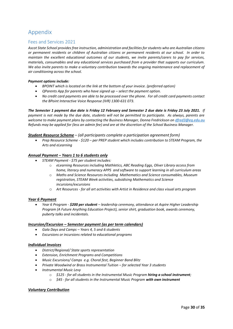# <span id="page-30-0"></span>Appendix

### <span id="page-30-1"></span>Fees and Services 2021

*Ascot State School provides free instruction, administration and facilities for students who are Australian citizens or permanent residents or children of Australian citizens or permanent residents at our school. In order to maintain the excellent educational outcomes of our students, we invite parents/carers to pay for services, materials, consumables and any educational services purchased from a provider that supports our curriculum. We also invite parents to make a voluntary contribution towards the ongoing maintenance and replacement of air conditioning across the school.* 

#### *Payment options include:*

- *BPOINT which is located on the link at the bottom of your invoice. (preferred option)*
- *QParents App for parents who have signed up – select the payment option.*
- *No credit card payments are able to be processed over the phone. For all credit card payments contact the BPoint Interactive Voice Response (IVR) 1300-631 073.*

*The Semester 1 payment due date is Friday 12 February and Semester 2 due date is Friday 23 July 2021. If payment is not made by the due date, students will not be permitted to participate. As always, parents are welcome to make payment plans by contacting the Business Manager, Donna Fredrickson o[n dfred3@eq.edu.au](mailto:dfred3@eq.edu.au)  Refunds may be applied for (less an admin fee) and are at the discretion of the School Business Manager.* 

#### *Student Resource Scheme* – *(all participants complete a participation agreement form)*

• *Prep Resource Scheme - \$120 – per PREP student which includes contribution to STEAM Program, the Arts and eLearning* 

#### *Annual Payment – Years 1 to 6 students only*

- *STEAM Payment - \$75 per student includes:*
	- o *eLearning Resources including Mathletics, ABC Reading Eggs, Oliver Library access from home, literacy and numeracy APPS and software to support learning in all curriculum areas*
	- o *Maths and Science Resources including Mathematics and Science consumables, Museum registration, STEAM Week activities, subsidising Mathematics and Science incursions/excursions*
	- o *Art Resources - for all art activities with Artist in Residence and class visual arts program*

#### *Year 6 Payment*

• *Year 6 Program - \$200 per student – leadership ceremony, attendance at Aspire Higher Leadership Program (A Future Anything Education Project), senior shirt, graduation book, awards ceremony, puberty talks and incidentals.*

#### *Incursion/Excursion – Semester payment (as per term calendars)*

- *Gala Days and Camps – Years 4, 5 and 6 students*
- *Excursions or incursions related to educational programs*

#### *Individual Invoices*

- *District/Regional/ State sports representation*
- *Extension, Enrichment Programs and Competitions*
- *Music Excursions/ Camps e.g. Choral fest, Beginner Band Blitz*
- *Private Woodwind or Brass Instrumental Tuition – for selected Year 3 students*
- *Instrumental Music Levy* 
	- o *\$125 - for all students in the Instrumental Music Program hiring a school instrument;*
	- o *\$45 - for all students in the Instrumental Music Program with own instrument*

### *Voluntary Contribution*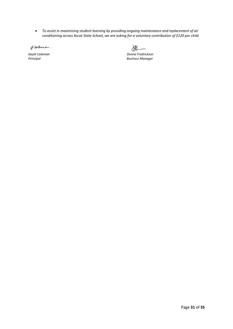• *To assist in maximising student learning by providing ongoing maintenance and replacement of air conditioning across Ascot State School, we are asking for a voluntary contribution of \$120 per child.* 

Glernan.

2

*Gayle Coleman Donna Fredrickson Principal Business Manager*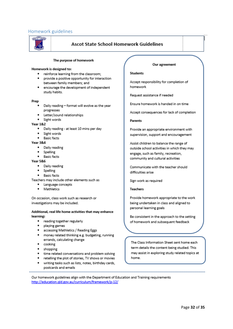### <span id="page-32-0"></span>Homework guidelines



### Ascot State School Homework Guidelines

#### The purpose of homework

#### Homework is designed to:

- reinforce learning from the classroom;
- provide a positive opportunity for interaction between family members; and
- . encourage the development of independent study habits.

#### Prep

- Daily reading format will evolve as the year progresses
- Letter/sound relationships
- · Sight words

#### **Year 1&2**

- · Daily reading at least 10 mins per day
- Sight words
- · Basic facts

#### **Year 3&4**

- · Daily reading
- Spelling
- · Basic facts

#### **Year 5&6**

- · Daily reading
- Spelling
- · Basic facts

Teachers may include other elements such as

- Language concepts
- · Mathletics

On occasion, class work such as research or investigations may be included.

#### Additional, real life home activities that may enhance learning:

- reading together regularly
- playing games
- $\bullet$ accessing Mathletics / Reading Eggs
- . money related thinking e.g. budgeting, running errands, calculating change
- cooking
- · shopping

- time related conversations and problem solving
- retelling the plot of stories, TV shows or movies
- writing tasks such as lists, notes, birthday cards, postcards and emails

#### Our agreement

#### **Students**

Accept responsibility for completion of homework

Request assistance if needed

Ensure homework is handed in on time

Accept consequences for lack of completion

#### **Parents**

Provide an appropriate environment with supervision, support and encouragement

Assist children to balance the range of outside school activities in which they may engage, such as family, recreation, community and cultural activities

Communicate with the teacher should difficulties arise

Sign work as required

**Teachers** 

Provide homework appropriate to the work being undertaken in class and aligned to personal learning goals

Be consistent in the approach to the setting of homework and subsequent feedback

The Class Information Sheet sent home each term details the content being studied. This may assist in exploring study related topics at home.

Our homework guidelines align with the Department of Education and Training requirements http://education.qld.gov.au/curriculum/framework/p-12/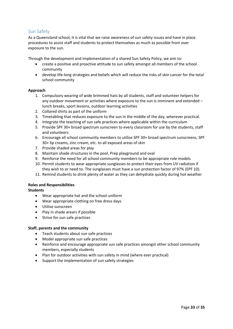### <span id="page-33-0"></span>Sun Safety

As a Queensland school, it is vital that we raise awareness of sun safety issues and have in place procedures to assist staff and students to protect themselves as much as possible from over exposure to the sun.

Through the development and implementation of a shared Sun Safety Policy, we aim to:

- create a positive and proactive attitude to sun safety amongst all members of the school community
- develop life-long strategies and beliefs which will reduce the risks of skin cancer for the total school community

### **Approach**

- 1. Compulsory wearing of wide brimmed hats by all students, staff and volunteer helpers for any outdoor movement or activities where exposure to the sun is imminent and extended – lunch breaks, sport lessons, outdoor learning activities
- 2. Collared shirts as part of the uniform
- 3. Timetabling that reduces exposure to the sun in the middle of the day, wherever practical.
- 4. Integrate the teaching of sun safe practices where applicable within the curriculum
- 5. Provide SPF 30+ broad spectrum sunscreen to every classroom for use by the students, staff and volunteers
- 6. Encourage all school community members to utilise SPF 30+ broad spectrum sunscreens, SPF 30+ lip creams, zinc cream, etc. to all exposed areas of skin
- 7. Provide shaded areas for play
- 8. Maintain shade structures in the pool, Prep playground and oval
- 9. Reinforce the need for all school community members to be appropriate role models
- 10. Permit students to wear appropriate sunglasses to protect their eyes from UV radiation if they wish to or need to. The sunglasses must have a sun protection factor of 97% (EPF 10).
- 11. Remind students to drink plenty of water as they can dehydrate quickly during hot weather

# **Roles and Responsibilities**

**Students**

- Wear appropriate hat and the school uniform
- Wear appropriate clothing on free dress days
- Utilise sunscreen
- Play in shade arears if possible
- Strive for sun safe practices

### **Staff, parents and the community**

- Teach students about sun safe practices
- Model appropriate sun safe practices
- Reinforce and encourage appropriate sun safe practices amongst other school community members, especially students
- Plan for outdoor activities with sun safety in mind (where ever practical)
- Support the implementation of sun safety strategies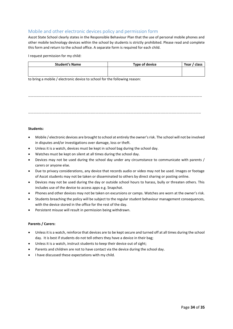### <span id="page-34-0"></span>Mobile and other electronic devices policy and permission form

Ascot State School clearly states in the Responsible Behaviour Plan that the use of personal mobile phones and other mobile technology devices within the school by students is strictly prohibited. Please read and complete this form and return to the school office. A separate form is required for each child.

I request permission for my child:

| <b>Student's Name</b> | <b>Type of device</b> | Year / class |
|-----------------------|-----------------------|--------------|
|                       |                       |              |
|                       |                       |              |

to bring a mobile / electronic device to school for the following reason:

……………………………………………………………………………………………………………………………………….…………………………………

…………………………………………………………………………………………………………………………………………………………………………

#### **Students:**

- Mobile / electronic devices are brought to school at entirely the owner's risk. The school will not be involved in disputes and/or investigations over damage, loss or theft.
- Unless it is a watch, devices must be kept in school bag during the school day.
- Watches must be kept on silent at all times during the school day.
- Devices may not be used during the school day under any circumstance to communicate with parents / carers or anyone else.
- Due to privacy considerations, any device that records audio or video may not be used. Images or footage of Ascot students may not be taken or disseminated to others by direct sharing or posting online.
- Devices may not be used during the day or outside school hours to harass, bully or threaten others. This includes use of the device to access apps e.g. Snapchat.
- Phones and other devices may not be taken on excursions or camps. Watches are worn at the owner's risk.
- Students breaching the policy will be subject to the regular student behaviour management consequences, with the device stored in the office for the rest of the day.
- Persistent misuse will result in permission being withdrawn.

#### **Parents / Carers:**

- Unless it is a watch, reinforce that devices are to be kept secure and turned off at all times during the school day. It is best if students do not tell others they have a device in their bag;
- Unless it is a watch, instruct students to keep their device out of sight;
- Parents and children are not to have contact via the device during the school day.
- I have discussed these expectations with my child.